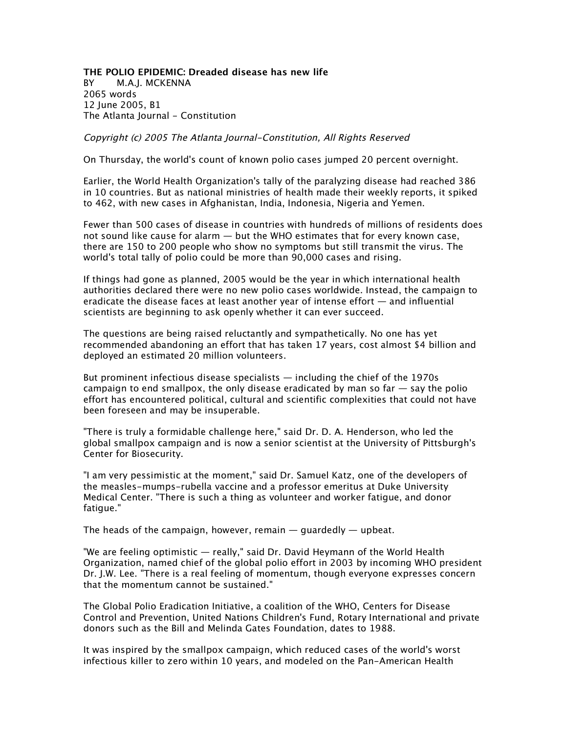**THE POLIO EPIDEMIC: Dreaded disease has new life** *BY M.A.J. MCKENNA 2065 words 12 June 2005, B1 The Atlanta Journal - Constitution*

Copyright (c) 2005 The Atlanta Journal-Constitution, All Rights Reserved

*On Thursday, the world's count of known polio cases jumped 20 percent overnight.*

*Earlier, the World Health Organization's tally of the paralyzing disease had reached 386 in 10 countries. But as national ministries of health made their weekly reports, it spiked to 462, with new cases in Afghanistan, India, Indonesia, Nigeria and Yemen.*

*Fewer than 500 cases of disease in countries with hundreds of millions of residents does not sound like cause for alarm — but the WHO estimates that for every known case, there are 150 to 200 people who show no symptoms but still transmit the virus. The world's total tally of polio could be more than 90,000 cases and rising.*

*If things had gone as planned, 2005 would be the year in which international health authorities declared there were no new polio cases worldwide. Instead, the campaign to eradicate the disease faces at least another year of intense effort — and influential scientists are beginning to ask openly whether it can ever succeed.*

*The questions are being raised reluctantly and sympathetically. No one has yet recommended abandoning an effort that has taken 17 years, cost almost \$4 billion and deployed an estimated 20 million volunteers.*

*But prominent infectious disease specialists — including the chief of the 1970s campaign to end smallpox, the only disease eradicated by man so far — say the polio effort has encountered political, cultural and scientific complexities that could not have been foreseen and may be insuperable.*

*"There is truly a formidable challenge here," said Dr. D. A. Henderson, who led the global smallpox campaign and is now a senior scientist at the University of Pittsburgh's Center for Biosecurity.*

*"I am very pessimistic at the moment," said Dr. Samuel Katz, one of the developers of the measles-mumps-rubella vaccine and a professor emeritus at Duke University Medical Center. "There is such a thing as volunteer and worker fatigue, and donor fatigue."*

*The heads of the campaign, however, remain — guardedly — upbeat.*

*"We are feeling optimistic — really," said Dr. David Heymann of the World Health Organization, named chief of the global polio effort in 2003 by incoming WHO president Dr. J.W. Lee. "There is a real feeling of momentum, though everyone expresses concern that the momentum cannot be sustained."*

*The Global Polio Eradication Initiative, a coalition of the WHO, Centers for Disease Control and Prevention, United Nations Children's Fund, Rotary International and private donors such as the Bill and Melinda Gates Foundation, dates to 1988.*

*It was inspired by the smallpox campaign, which reduced cases of the world's worst infectious killer to zero within 10 years, and modeled on the Pan-American Health*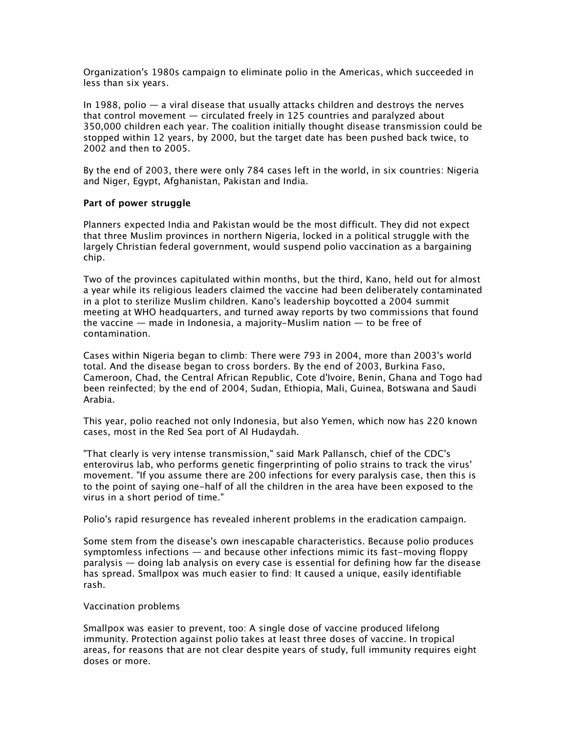*Organization's 1980s campaign to eliminate polio in the Americas, which succeeded in less than six years.*

*In 1988, polio — a viral disease that usually attacks children and destroys the nerves that control movement — circulated freely in 125 countries and paralyzed about 350,000 children each year. The coalition initially thought disease transmission could be stopped within 12 years, by 2000, but the target date has been pushed back twice, to 2002 and then to 2005.*

*By the end of 2003, there were only 784 cases left in the world, in six countries: Nigeria and Niger, Egypt, Afghanistan, Pakistan and India.*

## **Part of power struggle**

*Planners expected India and Pakistan would be the most difficult. They did not expect that three Muslim provinces in northern Nigeria, locked in a political struggle with the largely Christian federal government, would suspend polio vaccination as a bargaining chip.*

*Two of the provinces capitulated within months, but the third, Kano, held out for almost a year while its religious leaders claimed the vaccine had been deliberately contaminated in a plot to sterilize Muslim children. Kano's leadership boycotted a 2004 summit meeting at WHO headquarters, and turned away reports by two commissions that found the vaccine — made in Indonesia, a majority-Muslim nation — to be free of contamination.*

*Cases within Nigeria began to climb: There were 793 in 2004, more than 2003's world total. And the disease began to cross borders. By the end of 2003, Burkina Faso, Cameroon, Chad, the Central African Republic, Cote d'Ivoire, Benin, Ghana and Togo had been reinfected; by the end of 2004, Sudan, Ethiopia, Mali, Guinea, Botswana and Saudi Arabia.*

*This year, polio reached not only Indonesia, but also Yemen, which now has 220 known cases, most in the Red Sea port of Al Hudaydah.*

*"That clearly is very intense transmission," said Mark Pallansch, chief of the CDC's enterovirus lab, who performs genetic fingerprinting of polio strains to track the virus' movement. "If you assume there are 200 infections for every paralysis case, then this is to the point of saying one-half of all the children in the area have been exposed to the virus in a short period of time."*

*Polio's rapid resurgence has revealed inherent problems in the eradication campaign.*

*Some stem from the disease's own inescapable characteristics. Because polio produces symptomless infections — and because other infections mimic its fast-moving floppy paralysis — doing lab analysis on every case is essential for defining how far the disease has spread. Smallpox was much easier to find: It caused a unique, easily identifiable rash.*

## *Vaccination problems*

*Smallpox was easier to prevent, too: A single dose of vaccine produced lifelong immunity. Protection against polio takes at least three doses of vaccine. In tropical areas, for reasons that are not clear despite years of study, full immunity requires eight doses or more.*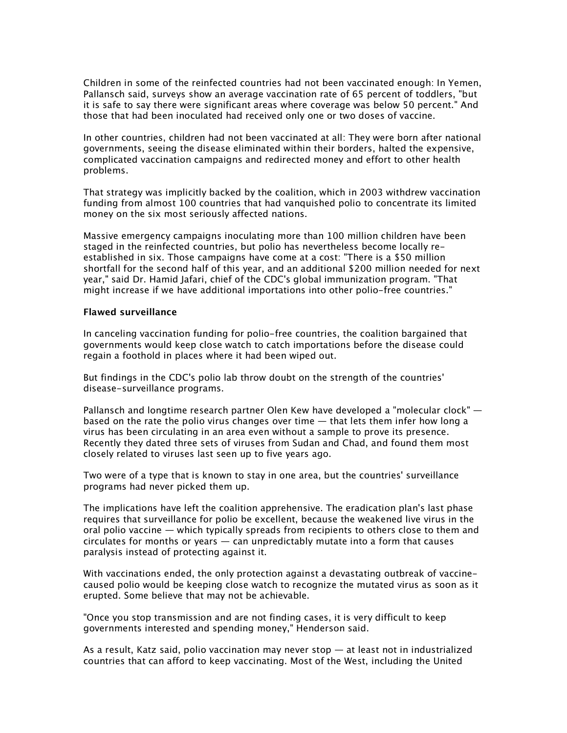*Children in some of the reinfected countries had not been vaccinated enough: In Yemen, Pallansch said, surveys show an average vaccination rate of 65 percent of toddlers, "but it is safe to say there were significant areas where coverage was below 50 percent." And those that had been inoculated had received only one or two doses of vaccine.*

In other countries, children had not been vaccinated at all: They were born after national *governments, seeing the disease eliminated within their borders, halted the expensive, complicated vaccination campaigns and redirected money and effort to other health problems.*

*That strategy was implicitly backed by the coalition, which in 2003 withdrew vaccination*  funding from almost 100 countries that had vanguished polio to concentrate its limited *money on the six most seriously affected nations.*

*Massive emergency campaigns inoculating more than 100 million children have been staged in the reinfected countries, but polio has nevertheless become locally reestablished in six. Those campaigns have come at a cost: "There is a \$50 million shortfall for the second half of this year, and an additional \$200 million needed for next year," said Dr. Hamid Jafari, chief of the CDC's global immunization program. "That might increase if we have additional importations into other polio-free countries."*

## **Flawed surveillance**

*In canceling vaccination funding for polio-free countries, the coalition bargained that governments would keep close watch to catch importations before the disease could regain a foothold in places where it had been wiped out.*

*But findings in the CDC's polio lab throw doubt on the strength of the countries' disease-surveillance programs.*

*Pallansch and longtime research partner Olen Kew have developed a "molecular clock" based on the rate the polio virus changes over time — that lets them infer how long a virus has been circulating in an area even without a sample to prove its presence. Recently they dated three sets of viruses from Sudan and Chad, and found them most closely related to viruses last seen up to five years ago.*

*Two were of a type that is known to stay in one area, but the countries' surveillance programs had never picked them up.*

*The implications have left the coalition apprehensive. The eradication plan's last phase requires that surveillance for polio be excellent, because the weakened live virus in the oral polio vaccine — which typically spreads from recipients to others close to them and circulates for months or years — can unpredictably mutate into a form that causes paralysis instead of protecting against it.*

*With vaccinations ended, the only protection against a devastating outbreak of vaccinecaused polio would be keeping close watch to recognize the mutated virus as soon as it erupted. Some believe that may not be achievable.*

*"Once you stop transmission and are not finding cases, it is very difficult to keep governments interested and spending money," Henderson said.*

*As a result, Katz said, polio vaccination may never stop — at least not in industrialized countries that can afford to keep vaccinating. Most of the West, including the United*